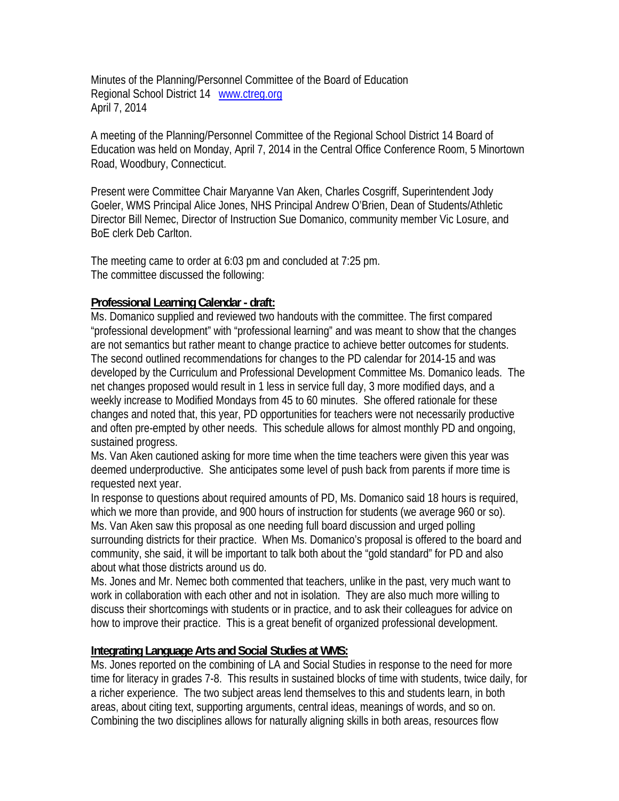Minutes of the Planning/Personnel Committee of the Board of Education Regional School District 14 www.ctreg.org April 7, 2014

A meeting of the Planning/Personnel Committee of the Regional School District 14 Board of Education was held on Monday, April 7, 2014 in the Central Office Conference Room, 5 Minortown Road, Woodbury, Connecticut.

Present were Committee Chair Maryanne Van Aken, Charles Cosgriff, Superintendent Jody Goeler, WMS Principal Alice Jones, NHS Principal Andrew O'Brien, Dean of Students/Athletic Director Bill Nemec, Director of Instruction Sue Domanico, community member Vic Losure, and BoE clerk Deb Carlton.

The meeting came to order at 6:03 pm and concluded at 7:25 pm. The committee discussed the following:

## **Professional Learning Calendar - draft:**

Ms. Domanico supplied and reviewed two handouts with the committee. The first compared "professional development" with "professional learning" and was meant to show that the changes are not semantics but rather meant to change practice to achieve better outcomes for students. The second outlined recommendations for changes to the PD calendar for 2014-15 and was developed by the Curriculum and Professional Development Committee Ms. Domanico leads. The net changes proposed would result in 1 less in service full day, 3 more modified days, and a weekly increase to Modified Mondays from 45 to 60 minutes. She offered rationale for these changes and noted that, this year, PD opportunities for teachers were not necessarily productive and often pre-empted by other needs. This schedule allows for almost monthly PD and ongoing, sustained progress.

Ms. Van Aken cautioned asking for more time when the time teachers were given this year was deemed underproductive. She anticipates some level of push back from parents if more time is requested next year.

In response to questions about required amounts of PD, Ms. Domanico said 18 hours is required, which we more than provide, and 900 hours of instruction for students (we average 960 or so). Ms. Van Aken saw this proposal as one needing full board discussion and urged polling surrounding districts for their practice. When Ms. Domanico's proposal is offered to the board and community, she said, it will be important to talk both about the "gold standard" for PD and also about what those districts around us do.

Ms. Jones and Mr. Nemec both commented that teachers, unlike in the past, very much want to work in collaboration with each other and not in isolation. They are also much more willing to discuss their shortcomings with students or in practice, and to ask their colleagues for advice on how to improve their practice. This is a great benefit of organized professional development.

## **Integrating Language Arts and Social Studies at WMS:**

Ms. Jones reported on the combining of LA and Social Studies in response to the need for more time for literacy in grades 7-8. This results in sustained blocks of time with students, twice daily, for a richer experience. The two subject areas lend themselves to this and students learn, in both areas, about citing text, supporting arguments, central ideas, meanings of words, and so on. Combining the two disciplines allows for naturally aligning skills in both areas, resources flow